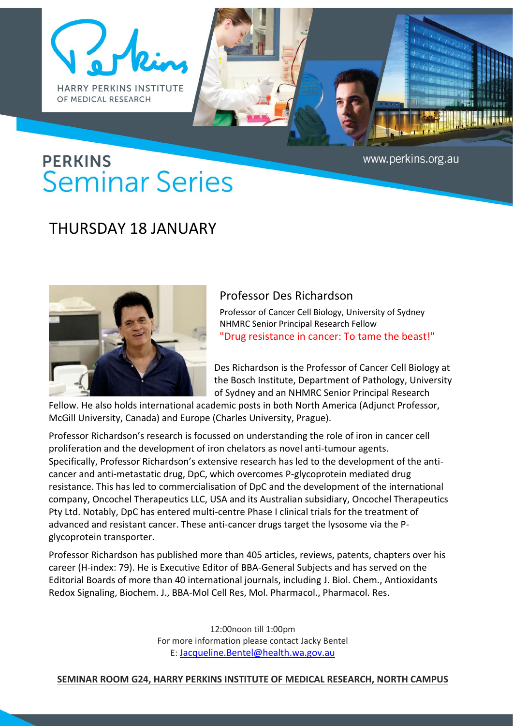



www.perkins.org.au

## **PERKINS Seminar Series**

## THURSDAY 18 JANUARY



## Professor Des Richardson

Professor of Cancer Cell Biology, University of Sydney NHMRC Senior Principal Research Fellow "Drug resistance in cancer: To tame the beast!"

Des Richardson is the Professor of Cancer Cell Biology at the Bosch Institute, Department of Pathology, University of Sydney and an NHMRC Senior Principal Research

Fellow. He also holds international academic posts in both North America (Adjunct Professor, McGill University, Canada) and Europe (Charles University, Prague).

Professor Richardson's research is focussed on understanding the role of iron in cancer cell proliferation and the development of iron chelators as novel anti-tumour agents. Specifically, Professor Richardson's extensive research has led to the development of the anticancer and anti-metastatic drug, DpC, which overcomes P-glycoprotein mediated drug resistance. This has led to commercialisation of DpC and the development of the international company, Oncochel Therapeutics LLC, USA and its Australian subsidiary, Oncochel Therapeutics Pty Ltd. Notably, DpC has entered multi-centre Phase I clinical trials for the treatment of advanced and resistant cancer. These anti-cancer drugs target the lysosome via the Pglycoprotein transporter.

Professor Richardson has published more than 405 articles, reviews, patents, chapters over his career (H-index: 79). He is Executive Editor of BBA-General Subjects and has served on the Editorial Boards of more than 40 international journals, including J. Biol. Chem., Antioxidants Redox Signaling, Biochem. J., BBA-Mol Cell Res, Mol. Pharmacol., Pharmacol. Res.

> 12:00noon till 1:00pm For more information please contact Jacky Bentel E: [Jacqueline.Bentel@health.wa.gov.au](mailto:Jacqueline.Bentel@health.wa.gov.au)

## **SEMINAR ROOM G24, HARRY PERKINS INSTITUTE OF MEDICAL RESEARCH, NORTH CAMPUS**